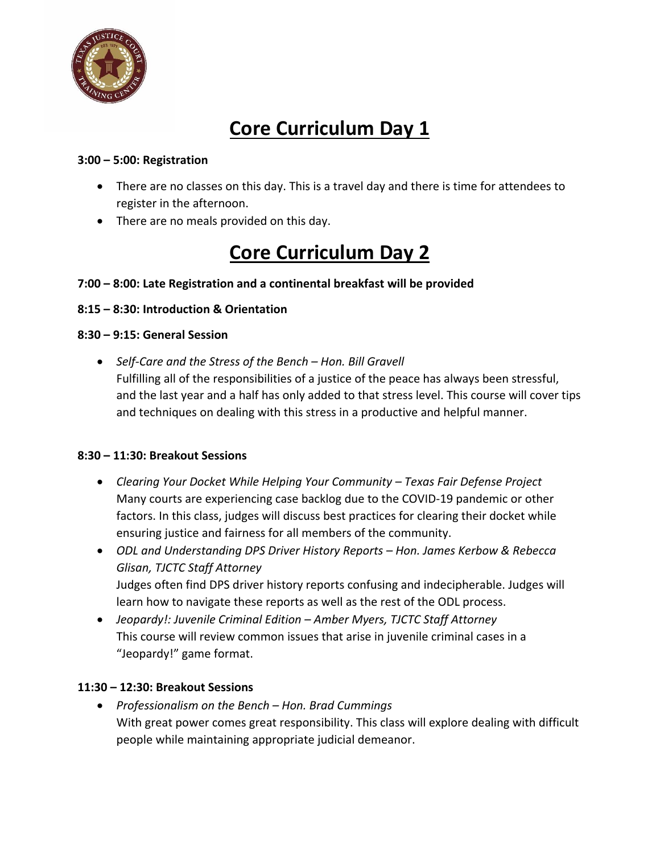

# **Core Curriculum Day 1**

## **3:00 – 5:00: Registration**

- There are no classes on this day. This is a travel day and there is time for attendees to register in the afternoon.
- There are no meals provided on this day.

# **Core Curriculum Day 2**

# **7:00 – 8:00: Late Registration and a continental breakfast will be provided**

### **8:15 – 8:30: Introduction & Orientation**

### **8:30 – 9:15: General Session**

• *Self-Care and the Stress of the Bench – Hon. Bill Gravell* Fulfilling all of the responsibilities of a justice of the peace has always been stressful, and the last year and a half has only added to that stress level. This course will cover tips and techniques on dealing with this stress in a productive and helpful manner.

#### **8:30 – 11:30: Breakout Sessions**

- *Clearing Your Docket While Helping Your Community – Texas Fair Defense Project* Many courts are experiencing case backlog due to the COVID-19 pandemic or other factors. In this class, judges will discuss best practices for clearing their docket while ensuring justice and fairness for all members of the community.
- *ODL and Understanding DPS Driver History Reports – Hon. James Kerbow & Rebecca Glisan, TJCTC Staff Attorney* Judges often find DPS driver history reports confusing and indecipherable. Judges will learn how to navigate these reports as well as the rest of the ODL process.
- *Jeopardy!: Juvenile Criminal Edition – Amber Myers, TJCTC Staff Attorney*  This course will review common issues that arise in juvenile criminal cases in a "Jeopardy!" game format.

# **11:30 – 12:30: Breakout Sessions**

• *Professionalism on the Bench – Hon. Brad Cummings* With great power comes great responsibility. This class will explore dealing with difficult people while maintaining appropriate judicial demeanor.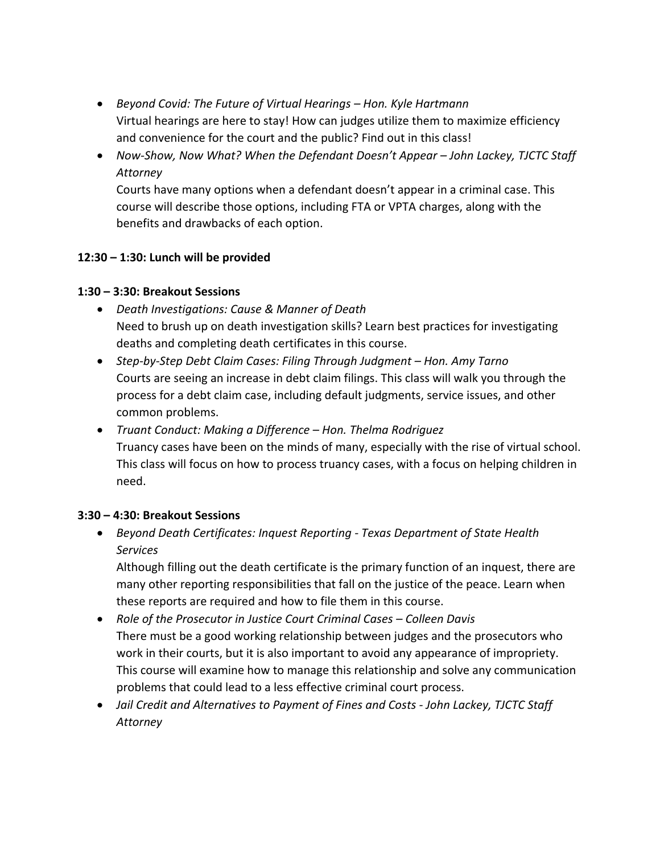- *Beyond Covid: The Future of Virtual Hearings – Hon. Kyle Hartmann* Virtual hearings are here to stay! How can judges utilize them to maximize efficiency and convenience for the court and the public? Find out in this class!
- *Now-Show, Now What? When the Defendant Doesn't Appear – John Lackey, TJCTC Staff Attorney*

Courts have many options when a defendant doesn't appear in a criminal case. This course will describe those options, including FTA or VPTA charges, along with the benefits and drawbacks of each option.

### **12:30 – 1:30: Lunch will be provided**

#### **1:30 – 3:30: Breakout Sessions**

- *Death Investigations: Cause & Manner of Death*  Need to brush up on death investigation skills? Learn best practices for investigating deaths and completing death certificates in this course.
- Step-by-Step Debt Claim Cases: Filing Through Judgment Hon. Amy Tarno Courts are seeing an increase in debt claim filings. This class will walk you through the process for a debt claim case, including default judgments, service issues, and other common problems.
- *Truant Conduct: Making a Difference – Hon. Thelma Rodriguez*  Truancy cases have been on the minds of many, especially with the rise of virtual school. This class will focus on how to process truancy cases, with a focus on helping children in need.

#### **3:30 – 4:30: Breakout Sessions**

• *Beyond Death Certificates: Inquest Reporting - Texas Department of State Health Services*

Although filling out the death certificate is the primary function of an inquest, there are many other reporting responsibilities that fall on the justice of the peace. Learn when these reports are required and how to file them in this course.

- Role of the Prosecutor in Justice Court Criminal Cases Colleen Davis There must be a good working relationship between judges and the prosecutors who work in their courts, but it is also important to avoid any appearance of impropriety. This course will examine how to manage this relationship and solve any communication problems that could lead to a less effective criminal court process.
- *Jail Credit and Alternatives to Payment of Fines and Costs - John Lackey, TJCTC Staff Attorney*